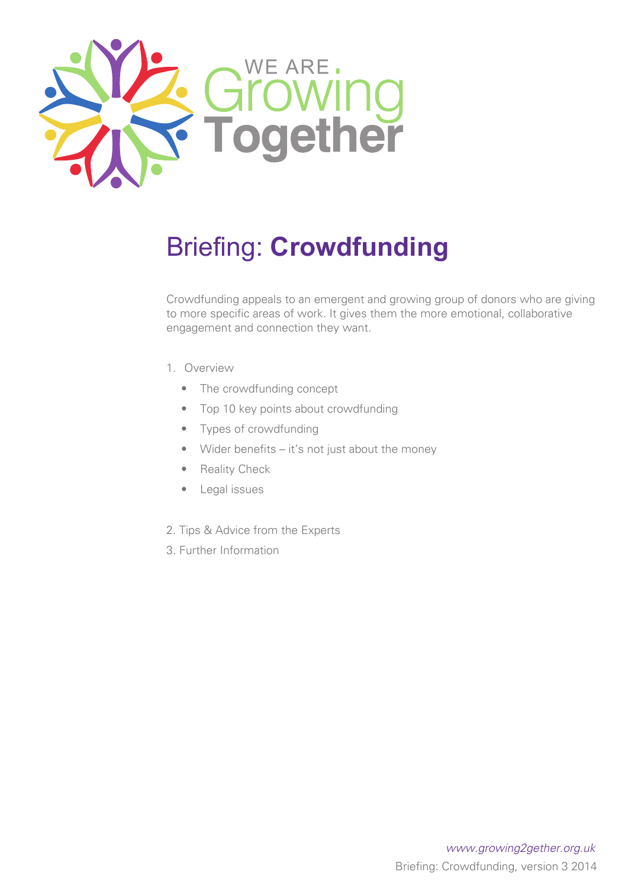

# Briefing: **Crowdfunding**

Crowdfunding appeals to an emergent and growing group of donors who are giving to more specific areas of work. It gives them the more emotional, collaborative engagement and connection they want.

- 1. Overview
	- The crowdfunding concept
	- Top 10 key points about crowdfunding
	- Types of crowdfunding •
	- Wider benefits it's not just about the money
	- Reality Check
	- Legal issues
- 2. Tips & Advice from the Experts
- 3. Further Information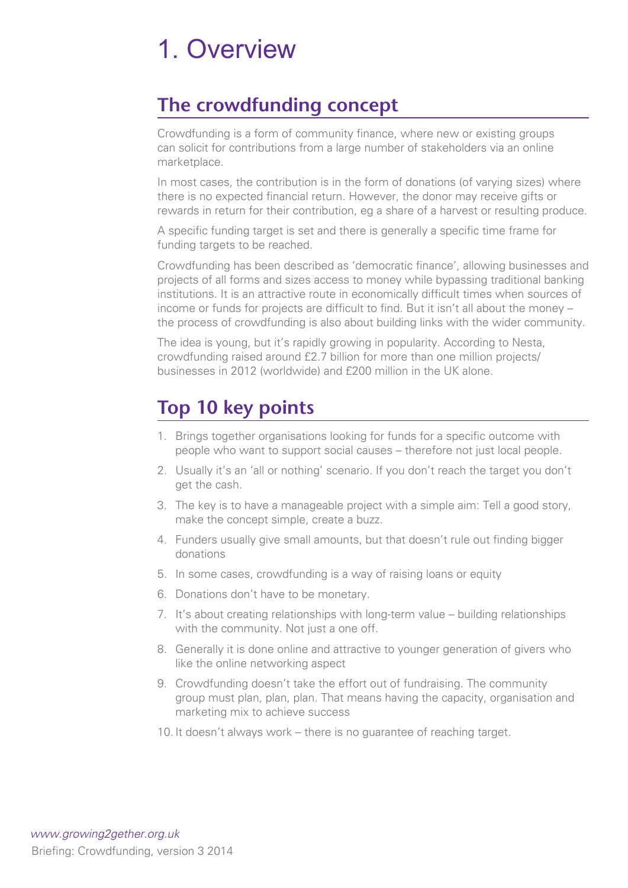# 1. Overview

# **The crowdfunding concept**

Crowdfunding is a form of community finance, where new or existing groups can solicit for contributions from a large number of stakeholders via an online marketplace.

In most cases, the contribution is in the form of donations (of varying sizes) where there is no expected financial return. However, the donor may receive gifts or rewards in return for their contribution, eg a share of a harvest or resulting produce.

A specific funding target is set and there is generally a specific time frame for funding targets to be reached.

Crowdfunding has been described as 'democratic finance', allowing businesses and projects of all forms and sizes access to money while bypassing traditional banking institutions. It is an attractive route in economically difficult times when sources of income or funds for projects are difficult to find. But it isn't all about the money – the process of crowdfunding is also about building links with the wider community.

The idea is young, but it's rapidly growing in popularity. According to Nesta, crowdfunding raised around £2.7 billion for more than one million projects/ businesses in 2012 (worldwide) and £200 million in the UK alone.

## **Top 10 key points**

- 1. Brings together organisations looking for funds for a specific outcome with people who want to support social causes – therefore not just local people.
- 2. Usually it's an 'all or nothing' scenario. If you don't reach the target you don't get the cash.
- 3. The key is to have a manageable project with a simple aim: Tell a good story, make the concept simple, create a buzz.
- 4. Funders usually give small amounts, but that doesn't rule out finding bigger donations
- 5. In some cases, crowdfunding is a way of raising loans or equity
- 6. Donations don't have to be monetary.
- 7. It's about creating relationships with long-term value building relationships with the community. Not just a one off.
- 8. Generally it is done online and attractive to younger generation of givers who like the online networking aspect
- 9. Crowdfunding doesn't take the effort out of fundraising. The community group must plan, plan, plan. That means having the capacity, organisation and marketing mix to achieve success
- 10. It doesn't always work there is no guarantee of reaching target.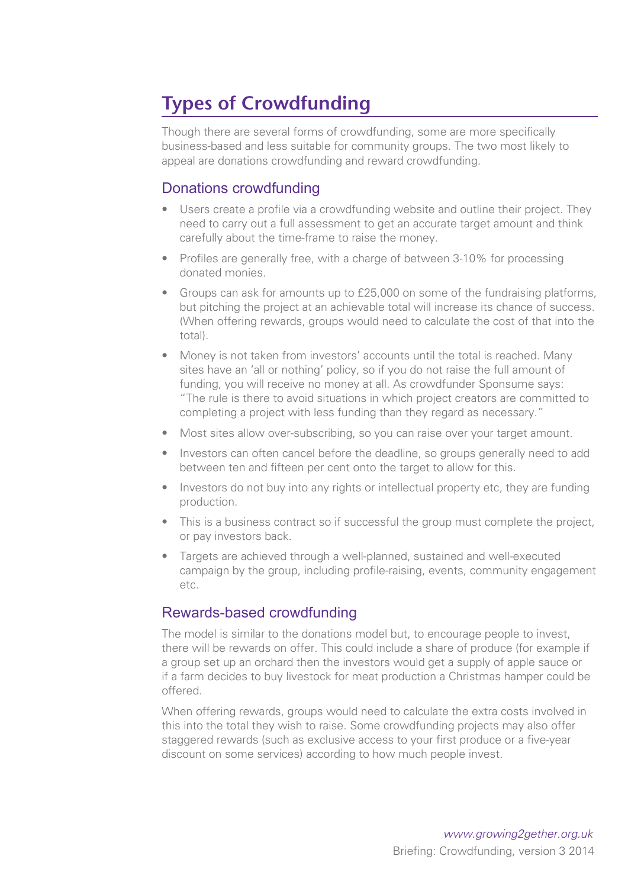# **Types of Crowdfunding**

Though there are several forms of crowdfunding, some are more specifically business-based and less suitable for community groups. The two most likely to appeal are donations crowdfunding and reward crowdfunding.

## Donations crowdfunding

- Users create a profile via a crowdfunding website and outline their project. They need to carry out a full assessment to get an accurate target amount and think carefully about the time-frame to raise the money.
- Profiles are generally free, with a charge of between 3-10% for processing donated monies.
- Groups can ask for amounts up to £25,000 on some of the fundraising platforms, but pitching the project at an achievable total will increase its chance of success. (When offering rewards, groups would need to calculate the cost of that into the total).
- Money is not taken from investors' accounts until the total is reached. Many sites have an 'all or nothing' policy, so if you do not raise the full amount of funding, you will receive no money at all. As crowdfunder Sponsume says: "The rule is there to avoid situations in which project creators are committed to completing a project with less funding than they regard as necessary."
- Most sites allow over-subscribing, so you can raise over your target amount.
- Investors can often cancel before the deadline, so groups generally need to add between ten and fifteen per cent onto the target to allow for this.
- Investors do not buy into any rights or intellectual property etc, they are funding production.
- This is a business contract so if successful the group must complete the project, or pay investors back.
- Targets are achieved through a well-planned, sustained and well-executed campaign by the group, including profile-raising, events, community engagement etc.

## Rewards-based crowdfunding

The model is similar to the donations model but, to encourage people to invest, there will be rewards on offer. This could include a share of produce (for example if a group set up an orchard then the investors would get a supply of apple sauce or if a farm decides to buy livestock for meat production a Christmas hamper could be offered.

When offering rewards, groups would need to calculate the extra costs involved in this into the total they wish to raise. Some crowdfunding projects may also offer staggered rewards (such as exclusive access to your first produce or a five-year discount on some services) according to how much people invest.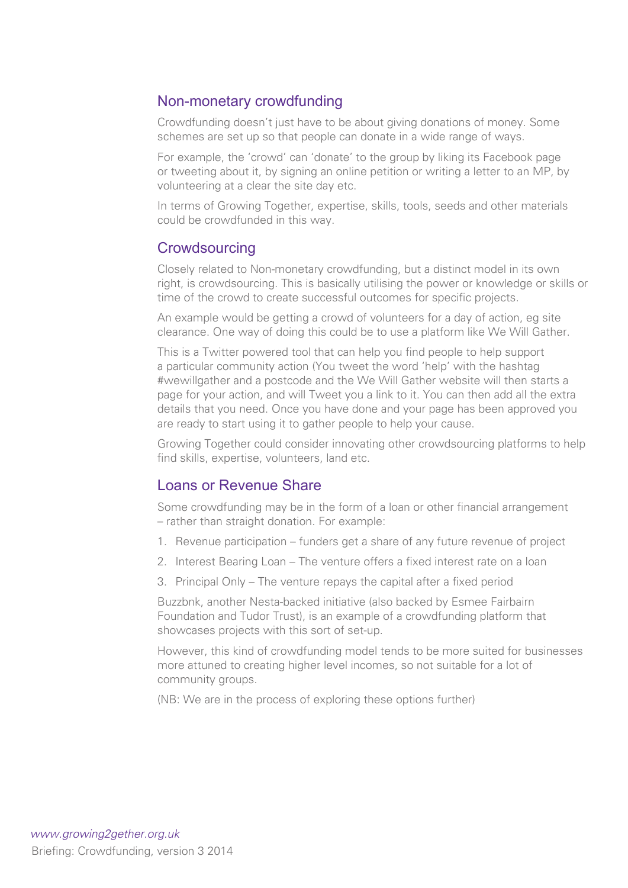### Non-monetary crowdfunding

Crowdfunding doesn't just have to be about giving donations of money. Some schemes are set up so that people can donate in a wide range of ways.

For example, the 'crowd' can 'donate' to the group by liking its Facebook page or tweeting about it, by signing an online petition or writing a letter to an MP, by volunteering at a clear the site day etc.

In terms of Growing Together, expertise, skills, tools, seeds and other materials could be crowdfunded in this way.

### **Crowdsourcing**

Closely related to Non-monetary crowdfunding, but a distinct model in its own right, is crowdsourcing. This is basically utilising the power or knowledge or skills or time of the crowd to create successful outcomes for specific projects.

An example would be getting a crowd of volunteers for a day of action, eg site clearance. One way of doing this could be to use a platform like We Will Gather.

This is a Twitter powered tool that can help you find people to help support a particular community action (You tweet the word 'help' with the hashtag #wewillgather and a postcode and the We Will Gather website will then starts a page for your action, and will Tweet you a link to it. You can then add all the extra details that you need. Once you have done and your page has been approved you are ready to start using it to gather people to help your cause.

Growing Together could consider innovating other crowdsourcing platforms to help find skills, expertise, volunteers, land etc.

### Loans or Revenue Share

Some crowdfunding may be in the form of a loan or other financial arrangement – rather than straight donation. For example:

- 1. Revenue participation funders get a share of any future revenue of project
- 2. Interest Bearing Loan The venture offers a fixed interest rate on a loan
- 3. Principal Only The venture repays the capital after a fixed period

Buzzbnk, another Nesta-backed initiative (also backed by Esmee Fairbairn Foundation and Tudor Trust), is an example of a crowdfunding platform that showcases projects with this sort of set-up.

However, this kind of crowdfunding model tends to be more suited for businesses more attuned to creating higher level incomes, so not suitable for a lot of community groups.

(NB: We are in the process of exploring these options further)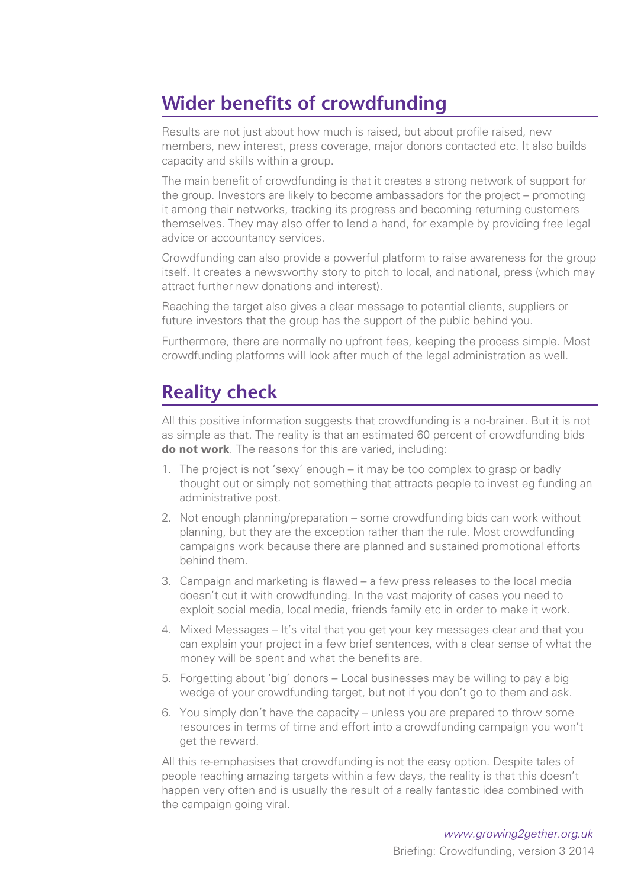# **Wider benefits of crowdfunding**

Results are not just about how much is raised, but about profile raised, new members, new interest, press coverage, major donors contacted etc. It also builds capacity and skills within a group.

The main benefit of crowdfunding is that it creates a strong network of support for the group. Investors are likely to become ambassadors for the project – promoting it among their networks, tracking its progress and becoming returning customers themselves. They may also offer to lend a hand, for example by providing free legal advice or accountancy services.

Crowdfunding can also provide a powerful platform to raise awareness for the group itself. It creates a newsworthy story to pitch to local, and national, press (which may attract further new donations and interest).

Reaching the target also gives a clear message to potential clients, suppliers or future investors that the group has the support of the public behind you.

Furthermore, there are normally no upfront fees, keeping the process simple. Most crowdfunding platforms will look after much of the legal administration as well.

# **Reality check**

All this positive information suggests that crowdfunding is a no-brainer. But it is not as simple as that. The reality is that an estimated 60 percent of crowdfunding bids **do not work**. The reasons for this are varied, including:

- 1. The project is not 'sexy' enough it may be too complex to grasp or badly thought out or simply not something that attracts people to invest eg funding an administrative post.
- 2. Not enough planning/preparation some crowdfunding bids can work without planning, but they are the exception rather than the rule. Most crowdfunding campaigns work because there are planned and sustained promotional efforts behind them.
- 3. Campaign and marketing is flawed a few press releases to the local media doesn't cut it with crowdfunding. In the vast majority of cases you need to exploit social media, local media, friends family etc in order to make it work.
- 4. Mixed Messages It's vital that you get your key messages clear and that you can explain your project in a few brief sentences, with a clear sense of what the money will be spent and what the benefits are.
- 5. Forgetting about 'big' donors Local businesses may be willing to pay a big wedge of your crowdfunding target, but not if you don't go to them and ask.
- 6. You simply don't have the capacity unless you are prepared to throw some resources in terms of time and effort into a crowdfunding campaign you won't get the reward.

All this re-emphasises that crowdfunding is not the easy option. Despite tales of people reaching amazing targets within a few days, the reality is that this doesn't happen very often and is usually the result of a really fantastic idea combined with the campaign going viral.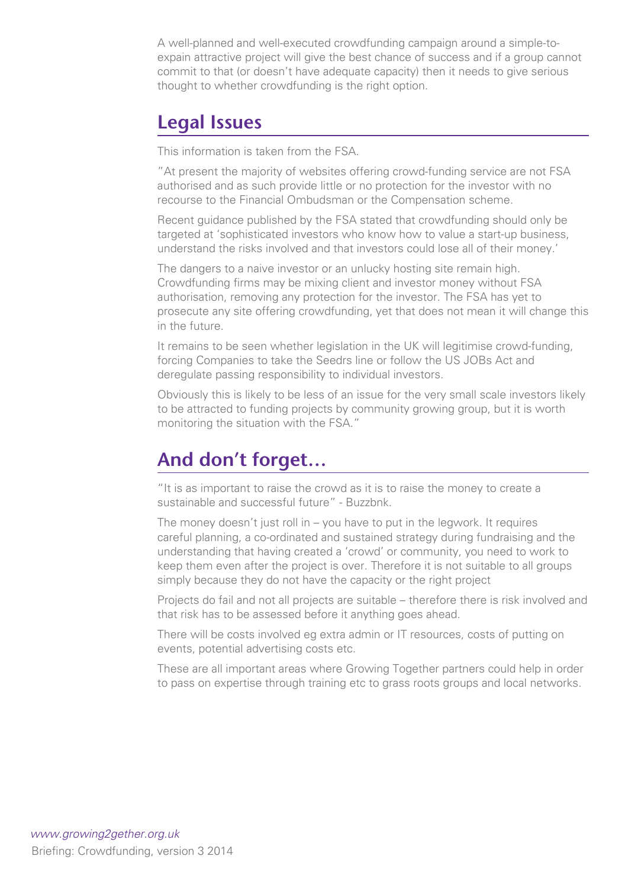A well-planned and well-executed crowdfunding campaign around a simple-toexpain attractive project will give the best chance of success and if a group cannot commit to that (or doesn't have adequate capacity) then it needs to give serious thought to whether crowdfunding is the right option.

## **Legal Issues**

This information is taken from the FSA.

"At present the majority of websites offering crowd-funding service are not FSA authorised and as such provide little or no protection for the investor with no recourse to the Financial Ombudsman or the Compensation scheme.

Recent guidance published by the FSA stated that crowdfunding should only be targeted at 'sophisticated investors who know how to value a start-up business, understand the risks involved and that investors could lose all of their money.'

The dangers to a naive investor or an unlucky hosting site remain high. Crowdfunding firms may be mixing client and investor money without FSA authorisation, removing any protection for the investor. The FSA has yet to prosecute any site offering crowdfunding, yet that does not mean it will change this in the future.

It remains to be seen whether legislation in the UK will legitimise crowd-funding, forcing Companies to take the Seedrs line or follow the US JOBs Act and deregulate passing responsibility to individual investors.

Obviously this is likely to be less of an issue for the very small scale investors likely to be attracted to funding projects by community growing group, but it is worth monitoring the situation with the FSA."

## **And don't forget…**

"It is as important to raise the crowd as it is to raise the money to create a sustainable and successful future" - Buzzbnk.

The money doesn't just roll in – you have to put in the legwork. It requires careful planning, a co-ordinated and sustained strategy during fundraising and the understanding that having created a 'crowd' or community, you need to work to keep them even after the project is over. Therefore it is not suitable to all groups simply because they do not have the capacity or the right project

Projects do fail and not all projects are suitable – therefore there is risk involved and that risk has to be assessed before it anything goes ahead.

There will be costs involved eg extra admin or IT resources, costs of putting on events, potential advertising costs etc.

These are all important areas where Growing Together partners could help in order to pass on expertise through training etc to grass roots groups and local networks.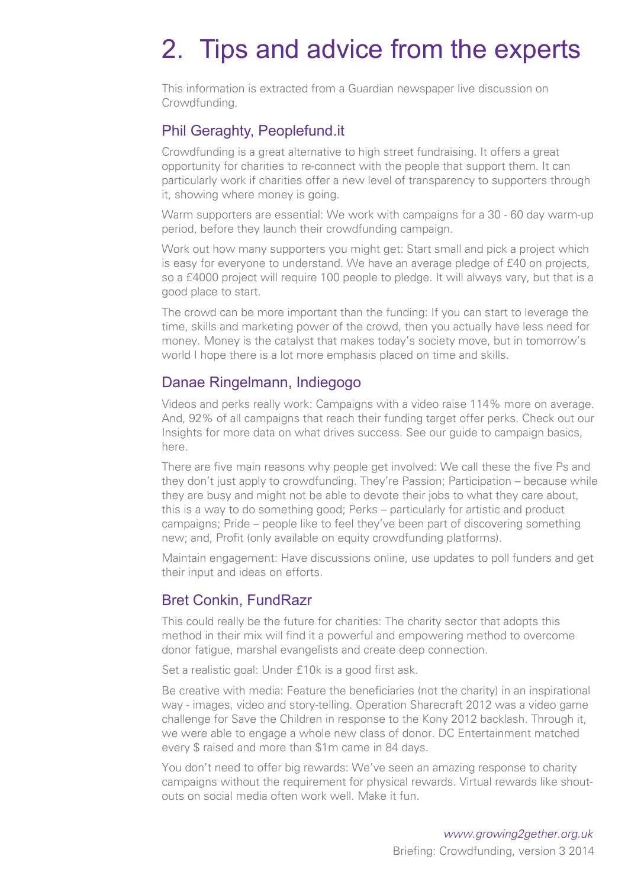# 2. Tips and advice from the experts

This information is extracted from a Guardian newspaper live discussion on Crowdfunding.

### Phil Geraghty, Peoplefund.it

Crowdfunding is a great alternative to high street fundraising. It offers a great opportunity for charities to re-connect with the people that support them. It can particularly work if charities offer a new level of transparency to supporters through it, showing where money is going.

Warm supporters are essential: We work with campaigns for a 30 - 60 day warm-up period, before they launch their crowdfunding campaign.

Work out how many supporters you might get: Start small and pick a project which is easy for everyone to understand. We have an average pledge of £40 on projects, so a £4000 project will require 100 people to pledge. It will always vary, but that is a good place to start.

The crowd can be more important than the funding: If you can start to leverage the time, skills and marketing power of the crowd, then you actually have less need for money. Money is the catalyst that makes today's society move, but in tomorrow's world I hope there is a lot more emphasis placed on time and skills.

### Danae Ringelmann, Indiegogo

Videos and perks really work: Campaigns with a video raise 114% more on average. And, 92% of all campaigns that reach their funding target offer perks. Check out our Insights for more data on what drives success. See our guide to campaign basics, here.

There are five main reasons why people get involved: We call these the five Ps and they don't just apply to crowdfunding. They're Passion; Participation – because while they are busy and might not be able to devote their jobs to what they care about, this is a way to do something good; Perks – particularly for artistic and product campaigns; Pride – people like to feel they've been part of discovering something new; and, Profit (only available on equity crowdfunding platforms).

Maintain engagement: Have discussions online, use updates to poll funders and get their input and ideas on efforts.

### Bret Conkin, FundRazr

This could really be the future for charities: The charity sector that adopts this method in their mix will find it a powerful and empowering method to overcome donor fatigue, marshal evangelists and create deep connection.

Set a realistic goal: Under £10k is a good first ask.

Be creative with media: Feature the beneficiaries (not the charity) in an inspirational way - images, video and story-telling. Operation Sharecraft 2012 was a video game challenge for Save the Children in response to the Kony 2012 backlash. Through it, we were able to engage a whole new class of donor. DC Entertainment matched every \$ raised and more than \$1m came in 84 days.

You don't need to offer big rewards: We've seen an amazing response to charity campaigns without the requirement for physical rewards. Virtual rewards like shoutouts on social media often work well. Make it fun.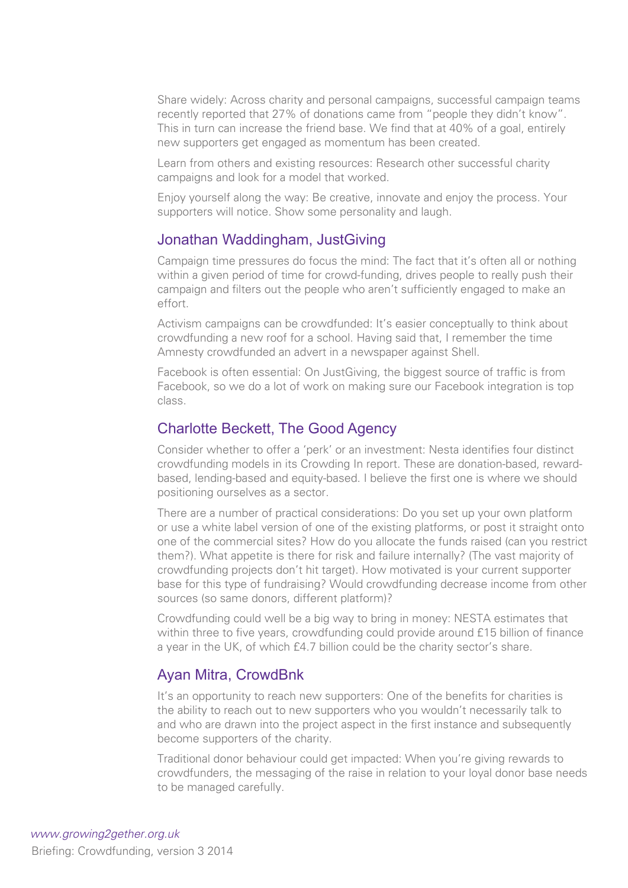Share widely: Across charity and personal campaigns, successful campaign teams recently reported that 27% of donations came from "people they didn't know". This in turn can increase the friend base. We find that at 40% of a goal, entirely new supporters get engaged as momentum has been created.

Learn from others and existing resources: Research other successful charity campaigns and look for a model that worked.

Enjoy yourself along the way: Be creative, innovate and enjoy the process. Your supporters will notice. Show some personality and laugh.

#### Jonathan Waddingham, JustGiving

Campaign time pressures do focus the mind: The fact that it's often all or nothing within a given period of time for crowd-funding, drives people to really push their campaign and filters out the people who aren't sufficiently engaged to make an effort.

Activism campaigns can be crowdfunded: It's easier conceptually to think about crowdfunding a new roof for a school. Having said that, I remember the time Amnesty crowdfunded an advert in a newspaper against Shell.

Facebook is often essential: On JustGiving, the biggest source of traffic is from Facebook, so we do a lot of work on making sure our Facebook integration is top class.

### Charlotte Beckett, The Good Agency

Consider whether to offer a 'perk' or an investment: Nesta identifies four distinct crowdfunding models in its Crowding In report. These are donation-based, rewardbased, lending-based and equity-based. I believe the first one is where we should positioning ourselves as a sector.

There are a number of practical considerations: Do you set up your own platform or use a white label version of one of the existing platforms, or post it straight onto one of the commercial sites? How do you allocate the funds raised (can you restrict them?). What appetite is there for risk and failure internally? (The vast majority of crowdfunding projects don't hit target). How motivated is your current supporter base for this type of fundraising? Would crowdfunding decrease income from other sources (so same donors, different platform)?

Crowdfunding could well be a big way to bring in money: NESTA estimates that within three to five years, crowdfunding could provide around £15 billion of finance a year in the UK, of which £4.7 billion could be the charity sector's share.

#### Ayan Mitra, CrowdBnk

It's an opportunity to reach new supporters: One of the benefits for charities is the ability to reach out to new supporters who you wouldn't necessarily talk to and who are drawn into the project aspect in the first instance and subsequently become supporters of the charity.

Traditional donor behaviour could get impacted: When you're giving rewards to crowdfunders, the messaging of the raise in relation to your loyal donor base needs to be managed carefully.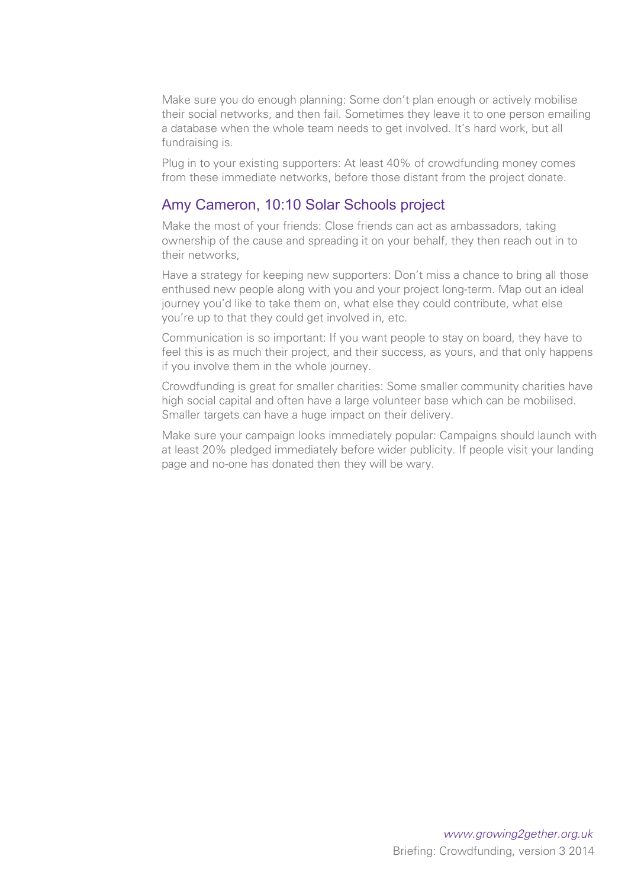Make sure you do enough planning: Some don't plan enough or actively mobilise their social networks, and then fail. Sometimes they leave it to one person emailing a database when the whole team needs to get involved. It's hard work, but all fundraising is.

Plug in to your existing supporters: At least 40% of crowdfunding money comes from these immediate networks, before those distant from the project donate.

### Amy Cameron, 10:10 Solar Schools project

Make the most of your friends: Close friends can act as ambassadors, taking ownership of the cause and spreading it on your behalf, they then reach out in to their networks,

Have a strategy for keeping new supporters: Don't miss a chance to bring all those enthused new people along with you and your project long-term. Map out an ideal journey you'd like to take them on, what else they could contribute, what else you're up to that they could get involved in, etc.

Communication is so important: If you want people to stay on board, they have to feel this is as much their project, and their success, as yours, and that only happens if you involve them in the whole journey.

Crowdfunding is great for smaller charities: Some smaller community charities have high social capital and often have a large volunteer base which can be mobilised. Smaller targets can have a huge impact on their delivery.

Make sure your campaign looks immediately popular: Campaigns should launch with at least 20% pledged immediately before wider publicity. If people visit your landing page and no-one has donated then they will be wary.